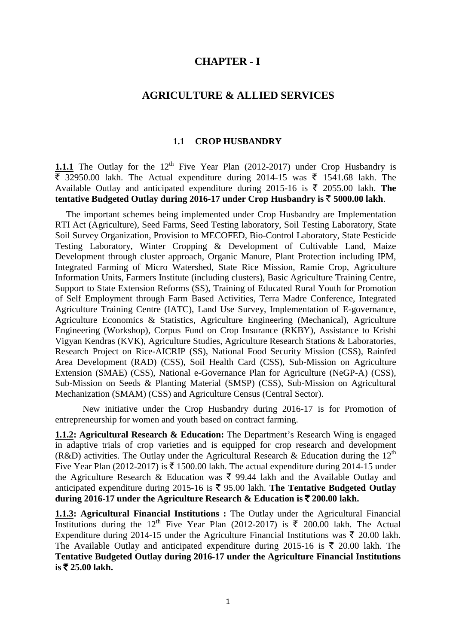# **CHAPTER - I**

#### **AGRICULTURE & ALLIED SERVICES**

#### **1.1 CROP HUSBANDRY**

**1.1.1** The Outlay for the 12<sup>th</sup> Five Year Plan (2012-2017) under Crop Husbandry is  $\overline{\xi}$  32950.00 lakh. The Actual expenditure during 2014-15 was  $\overline{\xi}$  1541.68 lakh. The Available Outlay and anticipated expenditure during 2015-16 is  $\bar{\tau}$  2055.00 lakh. **The tentative Budgeted Outlay during 2016-17 under Crop Husbandry is**  $\bar{\tau}$  **5000.00 lakh.** 

The important schemes being implemented under Crop Husbandry are Implementation RTI Act (Agriculture), Seed Farms, Seed Testing laboratory, Soil Testing Laboratory, State Soil Survey Organization, Provision to MECOFED, Bio-Control Laboratory, State Pesticide Testing Laboratory, Winter Cropping & Development of Cultivable Land, Maize Development through cluster approach, Organic Manure, Plant Protection including IPM, Integrated Farming of Micro Watershed, State Rice Mission, Ramie Crop, Agriculture Information Units, Farmers Institute (including clusters), Basic Agriculture Training Centre, Support to State Extension Reforms (SS), Training of Educated Rural Youth for Promotion of Self Employment through Farm Based Activities, Terra Madre Conference, Integrated Agriculture Training Centre (IATC), Land Use Survey, Implementation of E-governance, Agriculture Economics & Statistics, Agriculture Engineering (Mechanical), Agriculture Engineering (Workshop), Corpus Fund on Crop Insurance (RKBY), Assistance to Krishi Vigyan Kendras (KVK), Agriculture Studies, Agriculture Research Stations & Laboratories, Research Project on Rice-AICRIP (SS), National Food Security Mission (CSS), Rainfed Area Development (RAD) (CSS), Soil Health Card (CSS), Sub-Mission on Agriculture Extension (SMAE) (CSS), National e-Governance Plan for Agriculture (NeGP-A) (CSS), Sub-Mission on Seeds & Planting Material (SMSP) (CSS), Sub-Mission on Agricultural Mechanization (SMAM) (CSS) and Agriculture Census (Central Sector).

New initiative under the Crop Husbandry during 2016-17 is for Promotion of entrepreneurship for women and youth based on contract farming.

**1.1.2: Agricultural Research & Education:** The Department's Research Wing is engaged in adaptive trials of crop varieties and is equipped for crop research and development (R&D) activities. The Outlay under the Agricultural Research & Education during the  $12<sup>th</sup>$ Five Year Plan (2012-2017) is  $\bar{\tau}$  1500.00 lakh. The actual expenditure during 2014-15 under the Agriculture Research & Education was  $\bar{\xi}$  99.44 lakh and the Available Outlay and anticipated expenditure during 2015-16 is  $\bar{\tau}$  95.00 lakh. The Tentative Budgeted Outlay during 2016-17 under the Agriculture Research & Education is  $\bar{\tau}$  200.00 lakh.

**1.1.3: Agricultural Financial Institutions :** The Outlay under the Agricultural Financial Institutions during the 12<sup>th</sup> Five Year Plan (2012-2017) is  $\bar{\tau}$  200.00 lakh. The Actual Expenditure during 2014-15 under the Agriculture Financial Institutions was  $\bar{\tau}$  20.00 lakh. The Available Outlay and anticipated expenditure during 2015-16 is  $\bar{\xi}$  20.00 lakh. The **Tentative Budgeted Outlay during 2016-17 under the Agriculture Financial Institutions**   $i$  **is**  $\bar{x}$  25.00 lakh.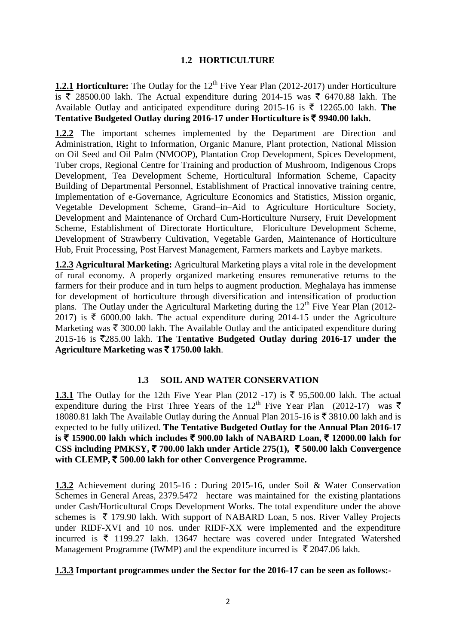### **1.2 HORTICULTURE**

**1.2.1 Horticulture:** The Outlay for the 12<sup>th</sup> Five Year Plan (2012-2017) under Horticulture is  $\overline{\xi}$  28500.00 lakh. The Actual expenditure during 2014-15 was  $\overline{\xi}$  6470.88 lakh. The Available Outlay and anticipated expenditure during 2015-16 is  $\bar{\tau}$  12265.00 lakh. **The Tentative Budgeted Outlay during 2016-17 under Horticulture is** ` **9940.00 lakh.**

**1.2.2** The important schemes implemented by the Department are Direction and Administration, Right to Information, Organic Manure, Plant protection, National Mission on Oil Seed and Oil Palm (NMOOP), Plantation Crop Development, Spices Development, Tuber crops, Regional Centre for Training and production of Mushroom, Indigenous Crops Development, Tea Development Scheme, Horticultural Information Scheme, Capacity Building of Departmental Personnel, Establishment of Practical innovative training centre, Implementation of e-Governance, Agriculture Economics and Statistics, Mission organic, Vegetable Development Scheme, Grand–in–Aid to Agriculture Horticulture Society, Development and Maintenance of Orchard Cum-Horticulture Nursery, Fruit Development Scheme, Establishment of Directorate Horticulture, Floriculture Development Scheme, Development of Strawberry Cultivation, Vegetable Garden, Maintenance of Horticulture Hub, Fruit Processing, Post Harvest Management, Farmers markets and Laybye markets.

**1.2.3 Agricultural Marketing:** Agricultural Marketing plays a vital role in the development of rural economy. A properly organized marketing ensures remunerative returns to the farmers for their produce and in turn helps to augment production. Meghalaya has immense for development of horticulture through diversification and intensification of production plans. The Outlay under the Agricultural Marketing during the  $12<sup>th</sup>$  Five Year Plan (2012-2017) is  $\bar{\tau}$  6000.00 lakh. The actual expenditure during 2014-15 under the Agriculture Marketing was  $\bar{\tau}$  300.00 lakh. The Available Outlay and the anticipated expenditure during  $2015-16$  is  $\overline{\xi}285.00$  lakh. The Tentative Budgeted Outlay during 2016-17 under the **Agriculture Marketing was** ` **1750.00 lakh**.

#### **1.3 SOIL AND WATER CONSERVATION**

**1.3.1** The Outlay for the 12th Five Year Plan (2012 -17) is  $\bar{\tau}$  95,500.00 lakh. The actual expenditure during the First Three Years of the 12<sup>th</sup> Five Year Plan (2012-17) was  $\bar{\xi}$ 18080.81 lakh The Available Outlay during the Annual Plan 2015-16 is  $\bar{\tau}$  3810.00 lakh and is expected to be fully utilized. **The Tentative Budgeted Outlay for the Annual Plan 2016-17 is** ` **15900.00 lakh which includes** ` **900.00 lakh of NABARD Loan,** ` **12000.00 lakh for CSS including PMKSY,** ` **700.00 lakh under Article 275(1),** ` **500.00 lakh Convergence with CLEMP,** ` **500.00 lakh for other Convergence Programme.**

**1.3.2** Achievement during 2015-16 : During 2015-16, under Soil & Water Conservation Schemes in General Areas, 2379.5472 hectare was maintained for the existing plantations under Cash/Horticultural Crops Development Works. The total expenditure under the above schemes is  $\bar{\tau}$  179.90 lakh. With support of NABARD Loan, 5 nos. River Valley Projects under RIDF-XVI and 10 nos. under RIDF-XX were implemented and the expenditure incurred is  $\bar{\tau}$  1199.27 lakh. 13647 hectare was covered under Integrated Watershed Management Programme (IWMP) and the expenditure incurred is  $\bar{\tau}$  2047.06 lakh.

#### **1.3.3 Important programmes under the Sector for the 2016-17 can be seen as follows:-**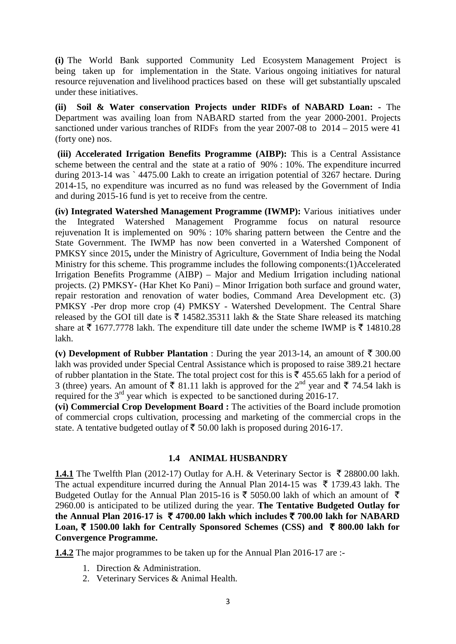**(i)** The World Bank supported Community Led Ecosystem Management Project is being taken up for implementation in the State. Various ongoing initiatives for natural resource rejuvenation and livelihood practices based on these will get substantially upscaled under these initiatives.

**(ii) Soil & Water conservation Projects under RIDFs of NABARD Loan: -** The Department was availing loan from NABARD started from the year 2000-2001. Projects sanctioned under various tranches of RIDFs from the year 2007-08 to 2014 – 2015 were 41 (forty one) nos.

**(iii) Accelerated Irrigation Benefits Programme (AIBP):** This is a Central Assistance scheme between the central and the state at a ratio of 90% : 10%. The expenditure incurred during 2013-14 was ` 4475.00 Lakh to create an irrigation potential of 3267 hectare. During 2014-15, no expenditure was incurred as no fund was released by the Government of India and during 2015-16 fund is yet to receive from the centre.

**(iv) Integrated Watershed Management Programme (IWMP):** Various initiatives under the Integrated Watershed Management Programme focus on natural resource rejuvenation It is implemented on 90% : 10% sharing pattern between the Centre and the State Government. The IWMP has now been converted in a Watershed Component of PMKSY since 2015**,** under the Ministry of Agriculture, Government of India being the Nodal Ministry for this scheme. This programme includes the following components:(1)Accelerated Irrigation Benefits Programme (AIBP) – Major and Medium Irrigation including national projects. (2) PMKSY**-** (Har Khet Ko Pani) – Minor Irrigation both surface and ground water, repair restoration and renovation of water bodies, Command Area Development etc. (3) PMKSY -Per drop more crop (4) PMKSY - Watershed Development. The Central Share released by the GOI till date is  $\bar{\tau}$  14582.35311 lakh & the State Share released its matching share at  $\bar{\tau}$  1677.7778 lakh. The expenditure till date under the scheme IWMP is  $\bar{\tau}$  14810.28 lakh.

**(v) Development of Rubber Plantation** : During the year 2013-14, an amount of  $\bar{\tau}$  300.00 lakh was provided under Special Central Assistance which is proposed to raise 389.21 hectare of rubber plantation in the State. The total project cost for this is  $\bar{\xi}$  455.65 lakh for a period of 3 (three) years. An amount of  $\bar{\xi}$  81.11 lakh is approved for the 2<sup>nd</sup> year and  $\bar{\xi}$  74.54 lakh is required for the  $3<sup>rd</sup>$  year which is expected to be sanctioned during 2016-17.

**(vi) Commercial Crop Development Board :** The activities of the Board include promotion of commercial crops cultivation, processing and marketing of the commercial crops in the state. A tentative budgeted outlay of  $\bar{\tau}$  50.00 lakh is proposed during 2016-17.

# **1.4 ANIMAL HUSBANDRY**

**1.4.1** The Twelfth Plan (2012-17) Outlay for A.H. & Veterinary Sector is  $\bar{\tau}$  28800.00 lakh. The actual expenditure incurred during the Annual Plan 2014-15 was  $\bar{\tau}$  1739.43 lakh. The Budgeted Outlay for the Annual Plan 2015-16 is  $\bar{\tau}$  5050.00 lakh of which an amount of  $\bar{\tau}$ 2960.00 is anticipated to be utilized during the year. **The Tentative Budgeted Outlay for the Annual Plan 2016-17 is ₹ 4700.00 lakh which includes ₹ 700.00 lakh for NABARD** Loan, ₹ 1500.00 lakh for Centrally Sponsored Schemes (CSS) and ₹ 800.00 lakh for **Convergence Programme.**

**1.4.2** The major programmes to be taken up for the Annual Plan 2016-17 are :-

- 1. Direction & Administration.
- 2. Veterinary Services & Animal Health.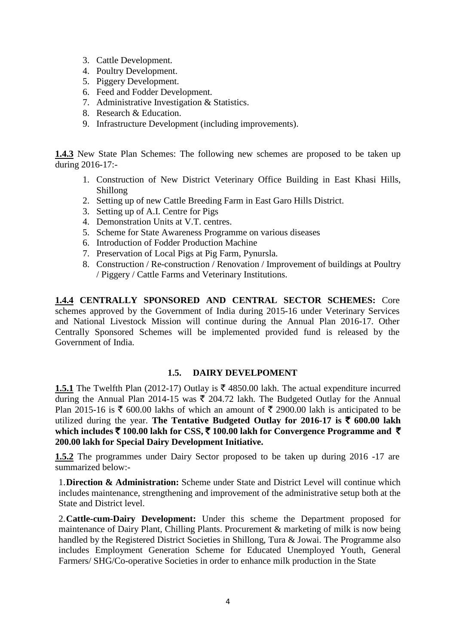- 3. Cattle Development.
- 4. Poultry Development.
- 5. Piggery Development.
- 6. Feed and Fodder Development.
- 7. Administrative Investigation & Statistics.
- 8. Research & Education.
- 9. Infrastructure Development (including improvements).

**1.4.3** New State Plan Schemes: The following new schemes are proposed to be taken up during 2016-17:-

- 1. Construction of New District Veterinary Office Building in East Khasi Hills, Shillong
- 2. Setting up of new Cattle Breeding Farm in East Garo Hills District.
- 3. Setting up of A.I. Centre for Pigs
- 4. Demonstration Units at V.T. centres.
- 5. Scheme for State Awareness Programme on various diseases
- 6. Introduction of Fodder Production Machine
- 7. Preservation of Local Pigs at Pig Farm, Pynursla.
- 8. Construction / Re-construction / Renovation / Improvement of buildings at Poultry / Piggery / Cattle Farms and Veterinary Institutions.

**1.4.4 CENTRALLY SPONSORED AND CENTRAL SECTOR SCHEMES:** Core schemes approved by the Government of India during 2015-16 under Veterinary Services and National Livestock Mission will continue during the Annual Plan 2016-17. Other Centrally Sponsored Schemes will be implemented provided fund is released by the Government of India.

# **1.5. DAIRY DEVELPOMENT**

**1.5.1** The Twelfth Plan (2012-17) Outlay is  $\bar{\tau}$  4850.00 lakh. The actual expenditure incurred during the Annual Plan 2014-15 was  $\bar{\tau}$  204.72 lakh. The Budgeted Outlay for the Annual Plan 2015-16 is  $\bar{\tau}$  600.00 lakhs of which an amount of  $\bar{\tau}$  2900.00 lakh is anticipated to be utilized during the year. The Tentative Budgeted Outlay for 2016-17 is  $\bar{\tau}$  600.00 lakh which includes  $\bar{\tau}$  100.00 lakh for CSS,  $\bar{\tau}$  100.00 lakh for Convergence Programme and  $\bar{\tau}$ **200.00 lakh for Special Dairy Development Initiative.**

**1.5.2** The programmes under Dairy Sector proposed to be taken up during 2016 -17 are summarized below:-

1.**Direction & Administration:** Scheme under State and District Level will continue which includes maintenance, strengthening and improvement of the administrative setup both at the State and District level.

2.**Cattle-cum-Dairy Development:** Under this scheme the Department proposed for maintenance of Dairy Plant, Chilling Plants. Procurement & marketing of milk is now being handled by the Registered District Societies in Shillong, Tura & Jowai. The Programme also includes Employment Generation Scheme for Educated Unemployed Youth, General Farmers/ SHG/Co-operative Societies in order to enhance milk production in the State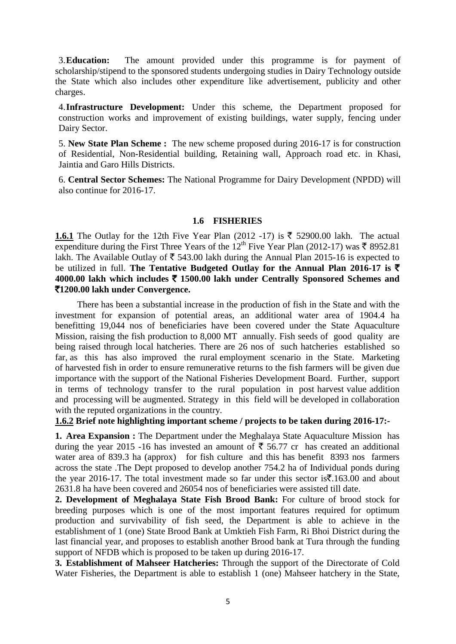3.**Education:** The amount provided under this programme is for payment of scholarship/stipend to the sponsored students undergoing studies in Dairy Technology outside the State which also includes other expenditure like advertisement, publicity and other charges.

4.**Infrastructure Development:** Under this scheme, the Department proposed for construction works and improvement of existing buildings, water supply, fencing under Dairy Sector.

5. **New State Plan Scheme :** The new scheme proposed during 2016-17 is for construction of Residential, Non-Residential building, Retaining wall, Approach road etc. in Khasi, Jaintia and Garo Hills Districts.

6. **Central Sector Schemes:** The National Programme for Dairy Development (NPDD) will also continue for 2016-17.

#### **1.6 FISHERIES**

**1.6.1** The Outlay for the 12th Five Year Plan (2012 -17) is  $\bar{\xi}$  52900.00 lakh. The actual expenditure during the First Three Years of the 12<sup>th</sup> Five Year Plan (2012-17) was  $\bar{\tau}$  8952.81 lakh. The Available Outlay of  $\bar{\tau}$  543.00 lakh during the Annual Plan 2015-16 is expected to be utilized in full. **The Tentative Budgeted Outlay for the Annual Plan 2016-17 is** ` **4000.00 lakh which includes** ` **1500.00 lakh under Centrally Sponsored Schemes and**  `**1200.00 lakh under Convergence.** 

 There has been a substantial increase in the production of fish in the State and with the investment for expansion of potential areas, an additional water area of 1904.4 ha benefitting 19,044 nos of beneficiaries have been covered under the State Aquaculture Mission, raising the fish production to 8,000 MT annually. Fish seeds of good quality are being raised through local hatcheries. There are 26 nos of such hatcheries established so far, as this has also improved the rural employment scenario in the State. Marketing of harvested fish in order to ensure remunerative returns to the fish farmers will be given due importance with the support of the National Fisheries Development Board. Further, support in terms of technology transfer to the rural population in post harvest value addition and processing will be augmented. Strategy in this field will be developed in collaboration with the reputed organizations in the country.

**1.6.2 Brief note highlighting important scheme / projects to be taken during 2016-17:-**

**1. Area Expansion :** The Department under the Meghalaya State Aquaculture Mission has during the year 2015 -16 has invested an amount of  $\bar{\tau}$  56.77 cr has created an additional water area of 839.3 ha (approx) for fish culture and this has benefit 8393 nos farmers across the state .The Dept proposed to develop another 754.2 ha of Individual ponds during the year 2016-17. The total investment made so far under this sector is  $\bar{\mathbf{z}}$ .163.00 and about 2631.8 ha have been covered and 26054 nos of beneficiaries were assisted till date.

**2. Development of Meghalaya State Fish Brood Bank:** For culture of brood stock for breeding purposes which is one of the most important features required for optimum production and survivability of fish seed, the Department is able to achieve in the establishment of 1 (one) State Brood Bank at Umktieh Fish Farm, Ri Bhoi District during the last financial year, and proposes to establish another Brood bank at Tura through the funding support of NFDB which is proposed to be taken up during 2016-17.

**3. Establishment of Mahseer Hatcheries:** Through the support of the Directorate of Cold Water Fisheries, the Department is able to establish 1 (one) Mahseer hatchery in the State,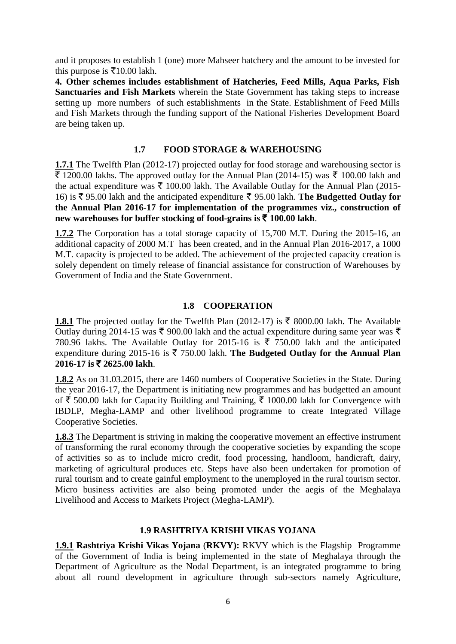and it proposes to establish 1 (one) more Mahseer hatchery and the amount to be invested for this purpose is  $\overline{\xi}$ 10.00 lakh.

**4. Other schemes includes establishment of Hatcheries, Feed Mills, Aqua Parks, Fish Sanctuaries and Fish Markets** wherein the State Government has taking steps to increase setting up more numbers of such establishments in the State. Establishment of Feed Mills and Fish Markets through the funding support of the National Fisheries Development Board are being taken up.

### **1.7 FOOD STORAGE & WAREHOUSING**

**1.7.1** The Twelfth Plan (2012-17) projected outlay for food storage and warehousing sector is  $\overline{\mathfrak{F}}$  1200.00 lakhs. The approved outlay for the Annual Plan (2014-15) was  $\overline{\mathfrak{F}}$  100.00 lakh and the actual expenditure was  $\bar{\tau}$  100.00 lakh. The Available Outlay for the Annual Plan (2015-16) is  $\bar{\tau}$  95.00 lakh and the anticipated expenditure  $\bar{\tau}$  95.00 lakh. **The Budgetted Outlay for the Annual Plan 2016-17 for implementation of the programmes viz., construction of new warehouses for buffer stocking of food-grains is** ` **100.00 lakh**.

**1.7.2** The Corporation has a total storage capacity of 15,700 M.T. During the 2015-16, an additional capacity of 2000 M.T has been created, and in the Annual Plan 2016-2017, a 1000 M.T. capacity is projected to be added. The achievement of the projected capacity creation is solely dependent on timely release of financial assistance for construction of Warehouses by Government of India and the State Government.

# **1.8 COOPERATION**

**1.8.1** The projected outlay for the Twelfth Plan (2012-17) is  $\bar{\tau}$  8000.00 lakh. The Available Outlay during 2014-15 was ₹ 900.00 lakh and the actual expenditure during same year was ₹ 780.96 lakhs. The Available Outlay for 2015-16 is  $\bar{\tau}$  750.00 lakh and the anticipated expenditure during 2015-16 is  $\bar{\tau}$  750.00 lakh. The Budgeted Outlay for the Annual Plan **2016-17 is** ` **2625.00 lakh**.

**1.8.2** As on 31.03.2015, there are 1460 numbers of Cooperative Societies in the State. During the year 2016-17, the Department is initiating new programmes and has budgetted an amount of  $\bar{\xi}$  500.00 lakh for Capacity Building and Training,  $\bar{\xi}$  1000.00 lakh for Convergence with IBDLP, Megha-LAMP and other livelihood programme to create Integrated Village Cooperative Societies.

**1.8.3** The Department is striving in making the cooperative movement an effective instrument of transforming the rural economy through the cooperative societies by expanding the scope of activities so as to include micro credit, food processing, handloom, handicraft, dairy, marketing of agricultural produces etc. Steps have also been undertaken for promotion of rural tourism and to create gainful employment to the unemployed in the rural tourism sector. Micro business activities are also being promoted under the aegis of the Meghalaya Livelihood and Access to Markets Project (Megha-LAMP).

# **1.9 RASHTRIYA KRISHI VIKAS YOJANA**

**1.9.1 Rashtriya Krishi Vikas Yojana** (**RKVY):** RKVY which is the Flagship Programme of the Government of India is being implemented in the state of Meghalaya through the Department of Agriculture as the Nodal Department, is an integrated programme to bring about all round development in agriculture through sub-sectors namely Agriculture,